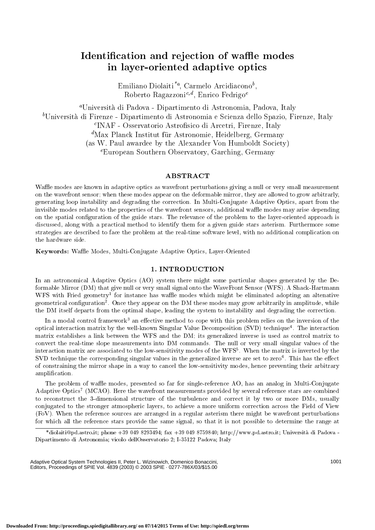# Identication and rejection of wae modes e oriented and address the oriented and address the second contract of the second contract of the second contract of the second contract of the second contract of the second contract of the second contract of the second co

Emiliano Diolaiti", Carmelo Arcidiacono<sup>-</sup>, Roberto Ragazzoni<sup>c,d</sup>, Enrico Fedrigo<sup>e</sup>

aUniversita di Pado v a - Dipartimento di Astronomia, Pado va, Italy bUniversita di Firenze - Dipartimento di Astronomia e Scienza dello Spazio, Firenze, Italy <sup>c</sup> INAF - Osservatorio Astrosico di Arcetri, Firenze, Italy "Max Planck Institut fur Astronomie, Heidelberg, Germany y and the state of the state of the state of the state of the state of the state of the state of the state of (as W. Paul a wardee b y the Alexander Von Humboldt Society) European Southern Observatory, Garching, Germany

## ABSTRACT

Wae modes are known in adaptive optics as w a vefront perturbations giving a null or very small measuremen t on the when the when the deformable modes appear on the deformable mirror, they are allowed to grow arbitrarily generating loop instability and degrading the correction. In Multi-Conjugate Adaptive Optics, apart from the invisible modes related to the properties of the w a vefront sensors, additional wae modes may arise depending on the spatial conguration of the guide stars. The relevance of the problem to the la yer-oriented approach is discussed, along with a practical method to identify them for a given guide stars as the stars as the stars as strategies are described to face the problem at the real-time soft ware level, with no additional complication on the hardware side.

Keywords: Wae Modes, Multi-Conjugate Adaptive Optics, La yer-Oriented

## 1. INTRODUCTION

In an astronomical Adaptiv e Optics (AO) system there migh t some particular shapes generated b y the Deformable Mirror (DM) that give null or very small signal onto the WaveFront Sensor (WFS). A Shack-Hartmann WFS with Fried geometry<sup>-</sup> for instance has wame modes which might be eliminated adopting an altenative geometrical configuration". Once they appear on the DM these modes may grow arbitrarily in amplitude, while the DM itself departs from the optimal shape, leading the system to instability and degrading the correction.

In a modal control framework – an effective method to cope with this problem relies on the inversion of the lit optical interaction matrix by the well-known Singular Value Decomposition (SVD) technique <sup>4</sup> . The interaction matrix establishes is none is used in the DM; its generalized in generalized in the DM; its matrix to the DM; its generalized in con vert the real-time slope measurements into DM commands. The null or very small singular values of the interaction matrix are associated to the low-sensitivity modes of the WFS <sup>5</sup> . When the matrix is in verted by the SVD technique the corresponding singular values in the generalized in verse are set to zero <sup>6</sup> . This has the eect of constraining the mirror shape in a w ay to cancel the low-sensitivity modes, hence preventing their arbitrary amplication.

The problem of wae modes, presented so far for single-reference AO, has an analog in Multi-Conjugate Adaptive Optics'' (MOAO). Here the wavefront measurements provided by several reference stars are combined to reconstructure of the 3-dimensional structure of the turbulence and correct items in the turbulence and correct items in the turbulence and correct items in the turbulence and correct items in the turbulence and correct conjugated to the stronger atmospheric la yers, to achieve a more uniform correction across the Field of View  $\mathcal{E}$  . When the reference sources are arranged in a regular asterism the windows are might be well asterism the windows are general asterism the windows are general asterism the windows are general asterism to the win for whic h all the reference stars provide the same signal, so that it is not possible to determine the range at

Adaptive Optical System Technologies II, Peter L. Wizinowich, Domenico Bonaccini, Editors, Proceedings of SPIE Vol. 4839 (2003) © 2003 SPIE · 0277-786X/03/\$15.00

<sup>\*</sup>diolaiti@pd.astro.it; phone +39 049 8293494; fax +39 049 8759840; http://www.pd.astro.it; Universita di Pado va - Dipartimento di Astronomia; vicolo dellOsservatorio 2; I-35122 Padova; Italy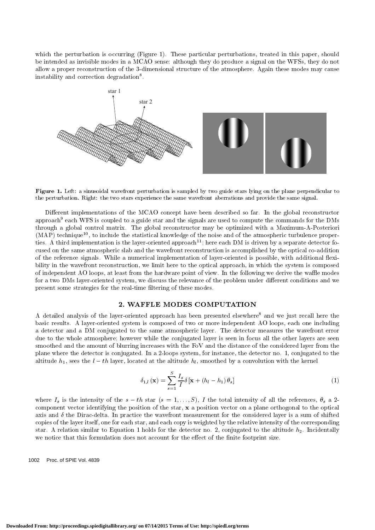which the perturbation is occurring (Figure 1). These particular perturbations, treated in this paper, should be intended as invisible modes in a MCAO sense: although they do produce a signal on the WFSs, they do not allow a proper reconstruction of the 3-dimensional structure of the atmosphere. Again these modes may cause instability and correction degradation8 .



Figure 1. Left: a sinusoidal wavefront perturbation is sampled by two guide stars lying on the plane perpendicular to the perturbation. Right: the two stars experience the same wavefront aberrations and provide the same signal.

Different implementations of the MCAO concept have been described so far. In the global reconstructor approach<sup>9</sup> each WFS is coupled to a guide star and the signals are used to compute the commands for the DMs through a global control matrix. The global reconstructor may be optimized with a Maximum-A-Posteriori  $(MAP)$  technique<sup>10</sup>, to include the statistical knowledge of the noise and of the atmospheric turbulence properties. A third implementation is the layer-oriented approach<sup>11</sup>; here each DM is driven by a separate detector focused on the same atmospheric slab and the wavefront reconstruction is accomplished by the optical co-addition of the reference signals. While a numerical implementation of layer-oriented is possible, with additional flexibility in the wavefront reconstruction, we limit here to the optical approach, in which the system is composed of independent AO loops, at least from the hardware point of view. In the following we derive the waffle modes for a two DMs layer-oriented system, we discuss the relevance of the problem under different conditions and we present some strategies for the real-time filtering of these modes.

### 2. WAFFLE MODES COMPUTATION

A detailed analysis of the layer-oriented approach has been presented elsewhere<sup>8</sup> and we just recall here the basic results. A layer-oriented system is composed of two or more independent AO loops, each one including a detector and a DM conjugated to the same atmospheric layer. The detector measures the wavefront error due to the whole atmosphere; however while the conjugated layer is seen in focus all the other layers are seen smoothed and the amount of blurring increases with the FoV and the distance of the considered layer from the plane where the detector is conjugated. In a 2-loops system, for instance, the detector no. 1, conjugated to the altitude  $h_1$ , sees the  $l - th$  layer, located at the altitude  $h_l$ , smoothed by a convolution with the kernel

$$
\delta_{1,l}(\mathbf{x}) = \sum_{s=1}^{S} \frac{I_s}{I} \delta\left[\mathbf{x} + \left(h_l - h_1\right)\theta_s\right]
$$
\n<sup>(1)</sup>

where  $I_s$  is the intensity of the  $s-th$  star  $(s = 1,...,S)$ , I the total intensity of all the references,  $\theta_s$  a 2component vector identifying the position of the star, <sup>x</sup> a position vector on a plane orthogonal to the optical axis and  $\delta$  the Dirac-delta. In practice the wavefront measurement for the considered layer is a sum of shifted copies of the layer itself, one for each star, and each copy is weighted by the relative intensity of the corresponding star. A relation similar to Equation 1 holds for the detector no. 2, conjugated to the altitude  $h_2$ . Incidentally we notice that this formulation does not account for the effect of the finite footprint size.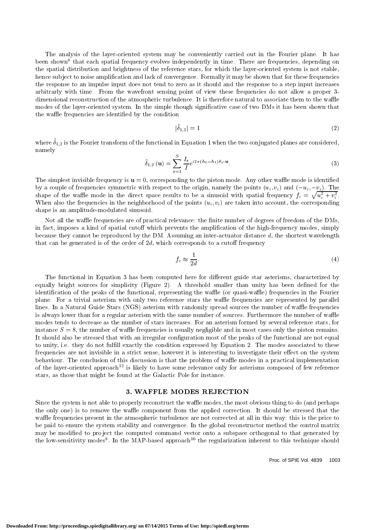The analysis of the layer-oriented system may be conveniently carried out in the Fourier plane. It has been snown- that each spatial frequency evolves independently in time. There are frequencies, depending on the spatial distribution and brightness of the reference stars, for which the layer-oriented system is not stable, hence subject to noise amplification and lack of convergence. Formally it may be shown that for these frequencies the response to an impulse input does not tend to zero as it should and the response to a step input increases arbitrarly with time. From the wavefront sensing point of view these frequencies do not allow a proper 3 dimensional reconstruction of the atmospheric turbulence. It is therefore natural to associate them to the waffle modes of the layer-oriented system. In the simple though significative case of two DMs it has been shown that the waffle frequencies are identified by the condition

$$
|\delta_{1,2}| = 1 \tag{2}
$$

where  $\sigma_{1,2}$  is the Fourier transform of the functional in Equation 1 when the two conjugated planes are considered, namely

$$
\tilde{\delta}_{1,2}(\mathbf{u}) = \sum_{s=1}^{S} \frac{I_s}{I} e^{i2\pi (h_2 - h_1)\theta_s \cdot \mathbf{u}}.
$$
\n(3)

The simplest invisible frequency is  $\mathbf{u} = 0$ , corresponding to the piston mode. Any other waffle mode is identified by a couple of frequencies symmetric with respect to the origin, namely the points  $(u_i, v_i)$  and  $(-u_i, -v_i)$ . The shape of the waffle mode in the direct space results to be a sinusoid with spatial frequency  $f_i = \sqrt{u_i^2 + v_i^2}$ . When also the frequencies in the neighborhood of the points  $(u_i, v_i)$  are taken into account, the corresponding shape is an amplitude-modulated sinusoid.

Not all the waffle frequencies are of practical relevance: the finite number of degrees of freedom of the DMs, in fact, imposes a kind of spatial cutoff which prevents the amplification of the high-frequency modes, simply because they cannot be reproduced by the DM. Assuming an inter-actuator distance  $d$ , the shortest wavelength that can be generated is of the order of  $2d$ , which corresponds to a cutoff frequency

$$
f_c \approx \frac{1}{2d}.\tag{4}
$$

The functional in Equation 3 has been computed here for different guide star asterisms, characterized by equally bright sources for simplicity (Figure 2). A threshold smaller than unity has been defined for the identification of the peaks of the functional, representing the waffle (or quasi-waffle) frequencies in the Fourier plane. For a trivial asterism with only two reference stars the waffle frequencies are represented by parallel lines. In a Natural Guide Stars (NGS) asterism with randomly spread sources the number of waffle frequencies is always lower than for a regular asterism with the same number of sources. Furthermore the number of waffle modes tends to decrease as the number of stars increases. For an asterism formed by several reference stars, for instance  $S = 8$ , the number of waffle frequencies is usually negligible and in most cases only the piston remains. It should also be stressed that with an irregular configuration most of the peaks of the functional are not equal to unity, i.e. they do not fulfill exactly the condition expressed by Equation 2. The modes associated to these frequencies are not invisible in a strict sense, however it is interesting to investigate their effect on the system behaviour. The conclusion of this discussion is that the problem of waffle modes in a practical implementation of the layer-oriented approach<sup>12</sup> is likely to have some relevance only for asterisms composed of few reference stars, as those that might be found at the Galactic Pole for instance.

## 3. WAFFLE MODES REJECTION

Since the system is not able to properly reconstruct the waffle modes, the most obvious thing to do (and perhaps the only one) is to remove the waffle component from the applied correction. It should be stressed that the waffle frequencies present in the atmospheric turbulence are not corrected at all in this way: this is the price to be paid to ensure the system stability and convergence. In the global reconstructor method the control matrix may be modified to project the computed command vector onto a subspace orthogonal to that generated by the low-sensitivity modes1. In the MAP-based approach11 the regularization inherent to this technique should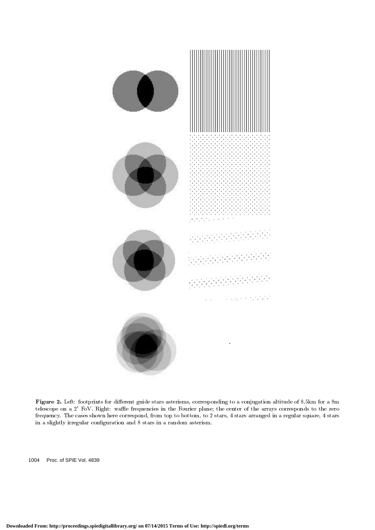

Figure 2. Left: footprints for dierent guide stars asterisms, corresponding to a conjugation altitude of 8.5km for a 8m telescope on a 2' FoV. Right: waffle frequencies in the Fourier plane; the center of the arrays corresponds to the zero frequency. The cases shown here correspond, from top to bottom, to 2 stars, 4 stars arranged in a regular square, 4 stars in a slightly irregular configuration and 8 stars in a random asterism.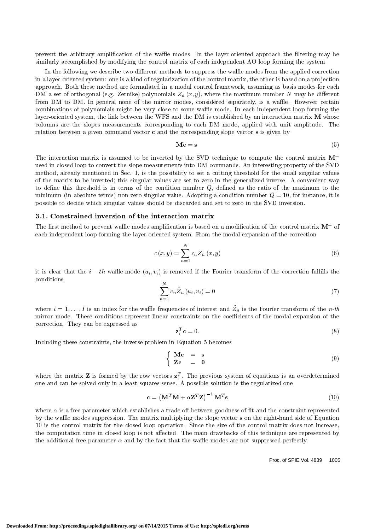prevent the arbitrary amplification of the waffle modes. In the layer-oriented approach the filtering may be similarly accomplished by modifying the control matrix of each independent AO loop forming the system.

In the following we describe two different methods to suppress the waffle modes from the applied correction in a layer-oriented system: one is a kind of regularization of the control matrix, the other is based on a projection approach. Both these method are formulated in a modal control framework, assuming as basis modes for each DM a set of orthogonal (e.g. Zernike) polynomials  $Z_n(x, y)$ , where the maximum number N may be different from DM to DM. In general none of the mirror modes, considered separately, is a waffle. However certain combinations of polynomials might be very close to some waffle mode. In each independent loop forming the layer-oriented system, the link between the WFS and the DM is established by an interaction matrix M whose columns are the slopes measurements corresponding to each DM mode, applied with unit amplitude. The relation between a given command vector <sup>c</sup> and the corresponding slope vector <sup>s</sup> is given by

$$
\mathbf{M}\mathbf{c} = \mathbf{s}.\tag{5}
$$

The interaction matrix is assumed to be inverted by the SVD technique to compute the control matrix  $M^+$ used in closed loop to convert the slope measurements into DM commands. An interesting property of the SVD method, already mentioned in Sec. 1, is the possibility to set a cutting threshold for the small singular values of the matrix to be inverted; this singular values are set to zero in the generalized inverse. A convenient way to define this threshold is in terms of the condition number  $Q$ , defined as the ratio of the maximum to the minimum (in absolute terms) non-zero singular value. Adopting a condition number  $Q = 10$ , for instance, it is possible to decide which singular values should be discarded and set to zero in the SVD inversion.

## 3.1. Constrained inversion of the interaction matrix

The first method to prevent wame modes amplification is based on a modification of the control matrix M++ of the co each independent loop forming the layer-oriented system. From the modal expansion of the correction

$$
c(x,y) = \sum_{n=1}^{N} c_n Z_n(x,y)
$$
 (6)

it is clear that the  $i-th$  waffle mode  $(u_i, v_i)$  is removed if the Fourier transform of the correction fulfills the conditions

$$
\sum_{n=1}^{N} c_n \tilde{Z}_n \left( u_i, v_i \right) = 0 \tag{7}
$$

where  $i=1,\ldots,1$  is an index for the wante frequencies of interest and  $Z_n$  is the Fourier transform of the  $n$ -th mirror mode. These conditions represent linear constraints on the coefficients of the modal expansion of the correction. They can be expressed as

$$
\mathbf{z}_i^T \mathbf{c} = 0. \tag{8}
$$

Including these constraints, the inverse problem in Equation 5 becomes

$$
\begin{cases}\n\mathbf{M}\mathbf{c} = \mathbf{s} \\
\mathbf{Z}\mathbf{c} = \mathbf{0}\n\end{cases} (9)
$$

where the matrix  $\bf{z}$  is formed by the row vectors  $\bf{z}^{\tau}_{i}$ . The previous system of equations is an overdetermined one and can be solved only in a least-squares sense. A possible solution is the regularized one regularized on

$$
\mathbf{c} = \left(\mathbf{M}^T \mathbf{M} + \alpha \mathbf{Z}^T \mathbf{Z}\right)^{-1} \mathbf{M}^T \mathbf{s}
$$
\n(10)

where  $\alpha$  is a free parameter which establishes a trade off between goodness of fit and the constraint represented by the waffle modes suppression. The matrix multiplying the slope vector s on the right-hand side of Equation 10 is the control matrix for the closed loop operation. Since the size of the control matrix does not increase, the computation time in closed loop is not affected. The main drawbacks of this technique are represented by the additional free parameter  $\alpha$  and by the fact that the waffle modes are not suppressed perfectly.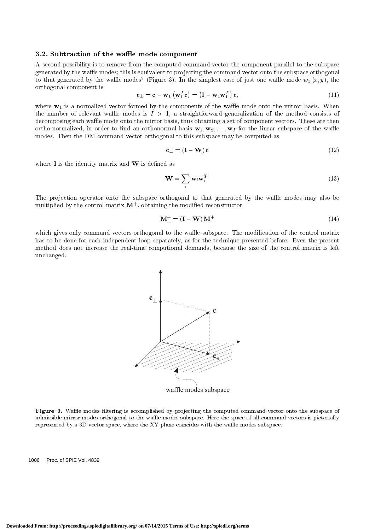## 3.2. Subtraction of the waffle mode component

A second possibility is to remove from the computed command vector the component parallel to the subspace generated by the waffle modes; this is equivalent to projecting the command vector onto the subspace orthogonal to that generated by the wanie modes (Figure 5). In the simplest case of just one wanie mode  $w_1$  (x, y), the orthogonal component is

$$
\mathbf{c}_{\perp} = \mathbf{c} - \mathbf{w}_1 \left( \mathbf{w}_1^T \mathbf{c} \right) = \left( \mathbf{I} - \mathbf{w}_1 \mathbf{w}_1^T \right) \mathbf{c},\tag{11}
$$

where  $w_1$  is a normalized vector formed by the components of the waffle mode onto the mirror basis. When the number of relevant waffle modes is  $I > 1$ , a straightforward generalization of the method consists of decomposing each waffle mode onto the mirror basis, thus obtaining a set of component vectors. These are then ortho-normalized, in order to find an orthonormal basis  $\mathbf{w}_1, \mathbf{w}_2, \ldots, \mathbf{w}_I$  for the linear subspace of the waffle modes. Then the DM command vector orthogonal to this subspace may be computed as

$$
\mathbf{c}_{\perp} = (\mathbf{I} - \mathbf{W}) \mathbf{c} \tag{12}
$$

where  $\bf{I}$  is the identity matrix and  $\bf{W}$  is defined as

$$
\mathbf{W} = \sum_{i} \mathbf{w}_i \mathbf{w}_i^T.
$$
 (13)

The projection operator onto the subspace orthogonal to that generated by the waffle modes may also be multiplied by the control matrix <sup>M</sup><sup>+</sup> , obtaining the modied reconstructor

$$
\mathbf{M}_{\perp}^{+} = (\mathbf{I} - \mathbf{W}) \mathbf{M}^{+} \tag{14}
$$

which gives only command vectors orthogonal to the waffle subspace. The modification of the control matrix has to be done for each independent loop separately, as for the technique presented before. Even the present method does not increase the real-time computional demands, because the size of the control matrix is left unchanged.



Figure 3. Wae modes ltering is accomplished by pro jecting the computed command vector onto the subspace of admissible mirror modes orthogonal to the waffle modes subspace. Here the space of all command vectors is pictorially represented by a 3D vector space, where the XY plane coincides with the waffle modes subspace.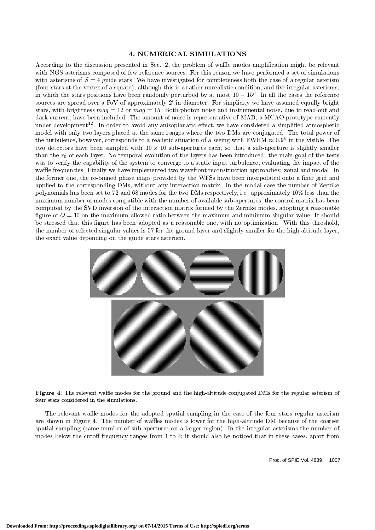## 4. NUMERICAL SIMULATIONS

According to the discussion presented in Sec. 2, the problem of waffle modes amplification might be relevant with NGS asterisms composed of few reference sources. For this reason we have performed a set of simulations with asterisms of  $S = 4$  guide stars. We have investigated for completeness both the case of a regular asterism (four stars at the vertex of a square), although this is a rather unrealistic condition, and five irregular asterisms, in which the stars positions have been randomly perturbed by at most  $10 - 15$ ". In all the cases the reference sources are spread over a FoV of approximately  $2'$  in diameter. For simplicity we have assumed equally bright stars, with brightness  $mag = 12$  or  $mag = 15$ . Both photon noise and instrumental noise, due to read-out and dark current, have been included. The amount of noise is representative of MAD, a MCAO prototype currently under development--. In order to avoid any anisoplanatic enect, we have considered a simplified atmospheric model with only two layers placed at the same ranges where the two DMs are conjugated. The total power of the turbulence, however, corresponds to a realistic situation of a seeing with FWHM  $\approx 0.9$ " in the visible. The two detectors have been sampled with 10 - 10 sub-apertures each, so that a sub-aperture is slightly smaller than the  $r_0$  of each layer. No temporal evolution of the layers has been introduced: the main goal of the tests was to verify the capability of the system to converge to a static input turbulence, evaluating the impact of the waffle frequencies. Finally we have implemented two wavefront reconstruction approaches: zonal and modal. In the former one, the re-binned phase maps provided by the WFSs have been interpolated onto a finer grid and applied to the corresponding DMs, without any interaction matrix. In the modal case the number of Zernike polynomials has been set to 72 and 68 modes for the two DMs respectively, i.e. approximately 10% less than the maximum number of modes compatible with the number of available sub-apertures; the control matrix has been computed by the SVD inversion of the interaction matrix formed by the Zernike modes, adopting a reasonable figure of  $Q = 10$  on the maximum allowed ratio between the maximum and minimum singular value. It should be stressed that this figure has been adopted as a reasonable one, with no optimization. With this threshold, the number of selected singular values is 57 for the ground layer and slightly smaller for the high altitude layer, the exact value depending on the guide stars asterism.



Figure 4. The relevant wae modes for the ground and the high-altitude conjugated DMs for the regular asterism of four stars considered in the simulations.

The relevant waffle modes for the adopted spatial sampling in the case of the four stars regular asterism are shown in Figure 4. The number of waffles modes is lower for the high-altitude DM because of the coarser spatial sampling (same number of sub-apertures on a larger region). In the irregular asterisms the number of modes below the cutoff frequency ranges from  $1$  to  $4$ ; it should also be noticed that in these cases, apart from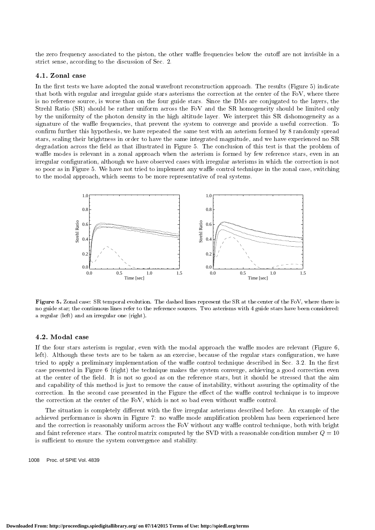the zero frequency associated to the piston, the other waffle frequencies below the cutoff are not invisible in a strict sense, according to the discussion of Sec. 2.

#### 4.1. Zonal case

In the first tests we have adopted the zonal wavefront reconstruction approach. The results (Figure 5) indicate that both with regular and irregular guide stars asterisms the correction at the center of the FoV, where there is no reference source, is worse than on the four guide stars. Since the DMs are conjugated to the layers, the Strehl Ratio (SR) should be rather uniform across the FoV and the SR homogeneity should be limited only by the uniformity of the photon density in the high altitude layer. We interpret this SR dishomogeneity as a signature of the waffle frequencies, that prevent the system to converge and provide a useful correction. To confirm further this hypothesis, we have repeated the same test with an asterism formed by 8 randomly spread stars, scaling their brightness in order to have the same integrated magnitude, and we have experienced no SR degradation across the field as that illustrated in Figure 5. The conclusion of this test is that the problem of waffle modes is relevant in a zonal approach when the asterism is formed by few reference stars, even in an irregular conguration, although we have observed cases with irregular asterisms in which the correction is not so poor as in Figure 5. We have not tried to implement any waffle control technique in the zonal case, switching to the modal approach, which seems to be more representative of real systems.



Figure 5. Zonal case: SR temporal evolution. The dashed lines represent the SR at the center of the FoV, where there is no guide star; the continuous lines refer to the reference sources. Two asterisms with 4 guide stars have been considered: a regular (left) and an irregular one (right).

#### 4.2. Modal case

If the four stars asterism is regular, even with the modal approach the waffle modes are relevant (Figure 6, left). Although these tests are to be taken as an exercise, because of the regular stars configuration, we have tried to apply a preliminary implementation of the waffle control technique described in Sec. 3.2. In the first case presented in Figure 6 (right) the technique makes the system converge, achieving a good correction even at the center of the field. It is not so good as on the reference stars, but it should be stressed that the aim and capability of this method is just to remove the cause of instability, without assuring the optimality of the correction. In the second case presented in the Figure the effect of the waffle control technique is to improve the correction at the center of the FoV, which is not so bad even without waffle control.

The situation is completely different with the five irregular asterisms described before. An example of the achieved performance is shown in Figure 7: no waffle mode amplification problem has been experienced here and the correction is reasonably uniform across the FoV without any waffle control technique, both with bright and faint reference stars. The control matrix computed by the SVD with a reasonable condition number  $Q = 10$ is sufficient to ensure the system convergence and stability.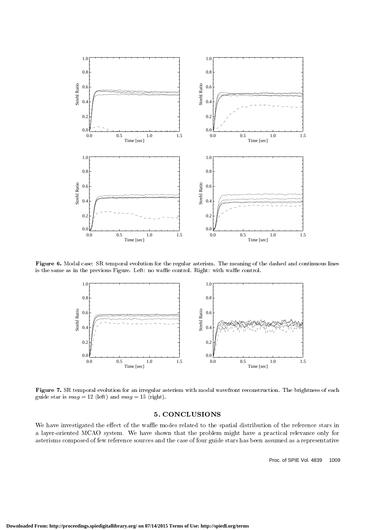

Figure 6. Modal case: SR temporal evolution for the regular asterism. The meaning of the dashed and continuous lines is the same as in the previous Figure. Left: no waffle control. Right: with waffle control.



Figure 7. SR temporal evolution for an irregular asterism with modal wavefront reconstruction. The brightness of each guide star is  $mag = 12$  (left) and  $mag = 15$  (right).

## 5. CONCLUSIONS

We have investigated the effect of the waffle modes related to the spatial distribution of the reference stars in a layer-oriented MCAO system. We have shown that the problem might have a practical relevance only for asterisms composed of few reference sources and the case of four guide stars has been assumed as a representative